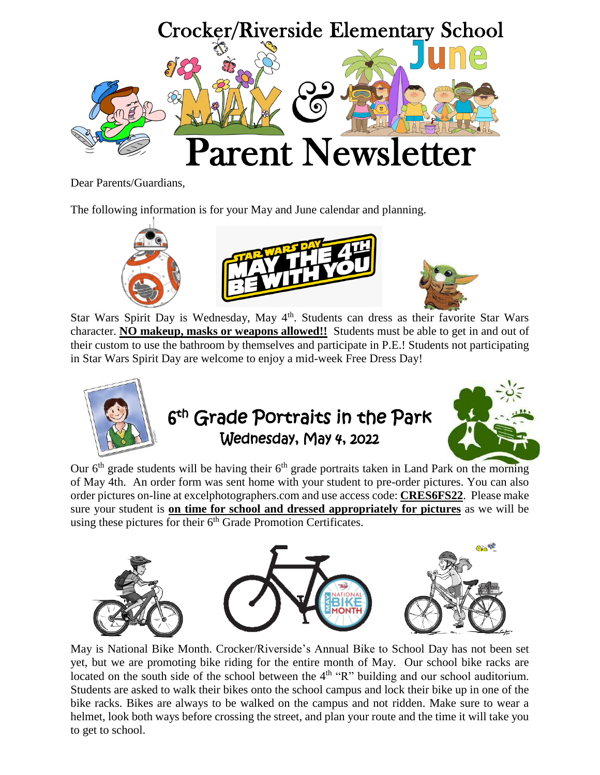

Dear Parents/Guardians,

The following information is for your May and June calendar and planning.



Star Wars Spirit Day is Wednesday, May 4<sup>th</sup>. Students can dress as their favorite Star Wars character. **NO makeup, masks or weapons allowed!!** Students must be able to get in and out of their custom to use the bathroom by themselves and participate in P.E.! Students not participating in Star Wars Spirit Day are welcome to enjoy a mid-week Free Dress Day!



Our  $6<sup>th</sup>$  [grade stude](https://www.google.com/url?sa=i&rct=j&q=&esrc=s&source=images&cd=&cad=rja&uact=8&ved=0ahUKEwiG0qCopMDTAhUBDWMKHULiD2oQjRwIBw&url=https://clipartfest.com/categories/view/7c16a9eb5ce91c23b6ded1ab8ad005c970e246a4/clipart-for-school-picture-day.html&psig=AFQjCNH2OLcLp03igVxon08wMd6NLPdAqQ&ust=1493232918544871)nts will be having their  $6<sup>th</sup>$  grade portraits taken in Land Park on the morning of May 4th. An order form was sent home with your student to pre-order pictures. You can also order pictures on-line at excelphotographers.com and use access code: **CRES6FS22**. Please make sure your student is **on time for school and dressed appropriately for pictures** as we will be using these pictures for their  $6<sup>th</sup>$  Grade Promotion Certificates.



May is National Bike Month. Crocker/Riverside's Annual Bike to School Day has not been set yet, but we are promoting bike riding for the entire month of May. Our school bike racks are located on the south side of the school between the 4<sup>th</sup> "R" building and our school auditorium. Students are asked to walk their bikes onto the school campus and lock their bike up in one of the bike racks. Bikes are always to be walked on the campus and not ridden. Make sure to wear a helmet, look both ways before crossing the street, and plan your route and the time it will take you to get to school.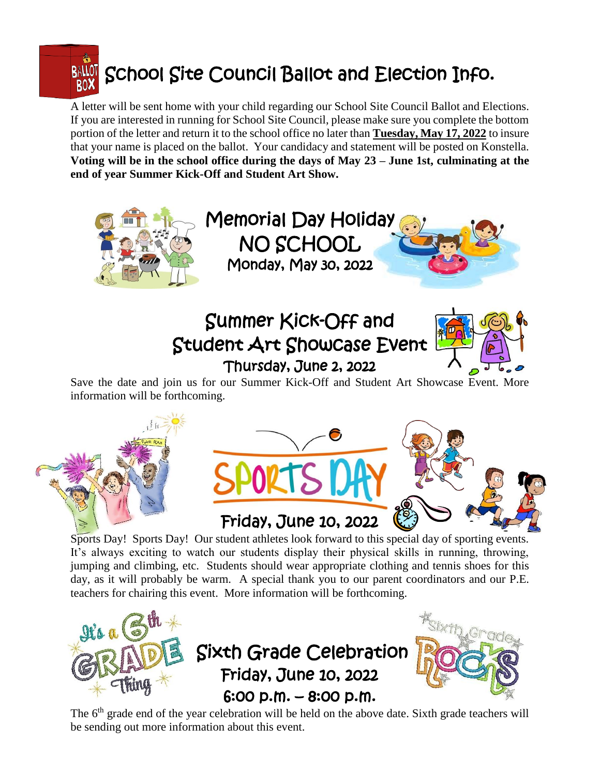

A letter will be sent home with your child regarding our School Site Council Ballot and Elections. If you are interested in running for School Site Council, please make sure you complete the bottom portion of the letter and return it to the school office no later than **Tuesday, May 17, 2022** to insure that your name is placed on the ballot. Your candidacy and statement will be posted on Konstella. **Voting will be in the school office during the days of May 23 – June 1st, culminating at the end of year Summer Kick-Off and Student Art Show.**



## Friday, June 10, 2022

Sports Day! Sports Day! Our student athletes look forward to this special day of sporting events. It's always exciting to watch our students display their physical skills in running, throwing, jumping and climbing, etc. Students should wear appropriate clothing and tennis shoes for this day, as it will probably be warm. A special thank you to our parent coordinators and our P.E. teachers for chairing this event. More information will be forthcoming.



The 6<sup>th</sup> grade end of the year celebration will be held on the above date. Sixth grade teachers will be sending out more information about this event.